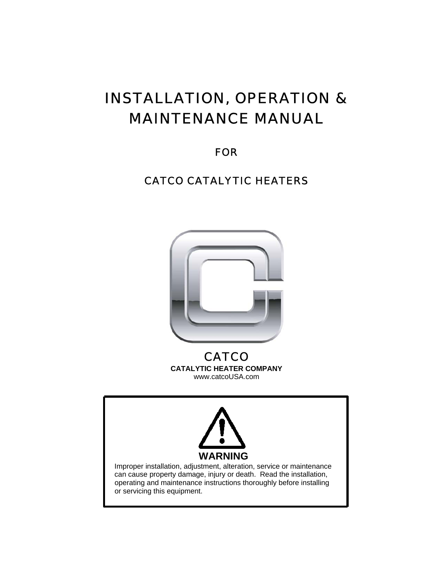## INSTALLATION, OPERATION & MAINTENANCE MANUAL

FOR

### CATCO CATALYTIC HEATERS



**CATCO CATALYTIC HEATER COMPANY**  www.catcoUSA.com

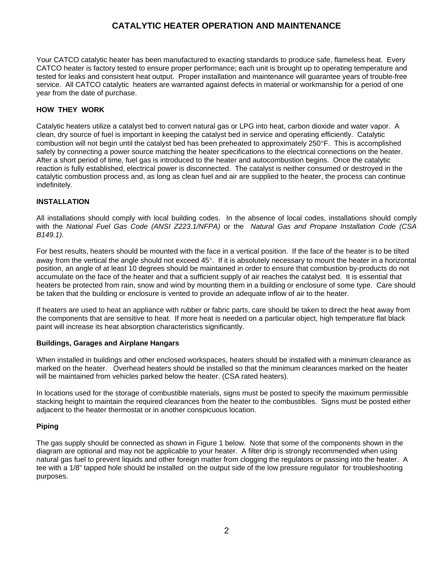#### **CATALYTIC HEATER OPERATION AND MAINTENANCE**

Your CATCO catalytic heater has been manufactured to exacting standards to produce safe, flameless heat. Every CATCO heater is factory tested to ensure proper performance; each unit is brought up to operating temperature and tested for leaks and consistent heat output. Proper installation and maintenance will guarantee years of trouble-free service. All CATCO catalytic heaters are warranted against defects in material or workmanship for a period of one year from the date of purchase.

#### **HOW THEY WORK**

Catalytic heaters utilize a catalyst bed to convert natural gas or LPG into heat, carbon dioxide and water vapor. A clean, dry source of fuel is important in keeping the catalyst bed in service and operating efficiently. Catalytic combustion will not begin until the catalyst bed has been preheated to approximately 250°F. This is accomplished safely by connecting a power source matching the heater specifications to the electrical connections on the heater. After a short period of time, fuel gas is introduced to the heater and autocombustion begins. Once the catalytic reaction is fully established, electrical power is disconnected. The catalyst is neither consumed or destroyed in the catalytic combustion process and, as long as clean fuel and air are supplied to the heater, the process can continue indefinitely.

#### **INSTALLATION**

All installations should comply with local building codes. In the absence of local codes, installations should comply with the *National Fuel Gas Code (ANSI Z223.1/NFPA)* or the *Natural Gas and Propane Installation Code (CSA B149.1).* 

For best results, heaters should be mounted with the face in a vertical position. If the face of the heater is to be tilted away from the vertical the angle should not exceed 45°. If it is absolutely necessary to mount the heater in a horizontal position, an angle of at least 10 degrees should be maintained in order to ensure that combustion by-products do not accumulate on the face of the heater and that a sufficient supply of air reaches the catalyst bed. It is essential that heaters be protected from rain, snow and wind by mounting them in a building or enclosure of some type. Care should be taken that the building or enclosure is vented to provide an adequate inflow of air to the heater.

If heaters are used to heat an appliance with rubber or fabric parts, care should be taken to direct the heat away from the components that are sensitive to heat. If more heat is needed on a particular object, high temperature flat black paint will increase its heat absorption characteristics significantly.

#### **Buildings, Garages and Airplane Hangars**

When installed in buildings and other enclosed workspaces, heaters should be installed with a minimum clearance as marked on the heater. Overhead heaters should be installed so that the minimum clearances marked on the heater will be maintained from vehicles parked below the heater. (CSA rated heaters).

In locations used for the storage of combustible materials, signs must be posted to specify the maximum permissible stacking height to maintain the required clearances from the heater to the combustibles. Signs must be posted either adjacent to the heater thermostat or in another conspicuous location.

#### **Piping**

The gas supply should be connected as shown in Figure 1 below. Note that some of the components shown in the diagram are optional and may not be applicable to your heater. A filter drip is strongly recommended when using natural gas fuel to prevent liquids and other foreign matter from clogging the regulators or passing into the heater. A tee with a 1/8" tapped hole should be installed on the output side of the low pressure regulator for troubleshooting purposes.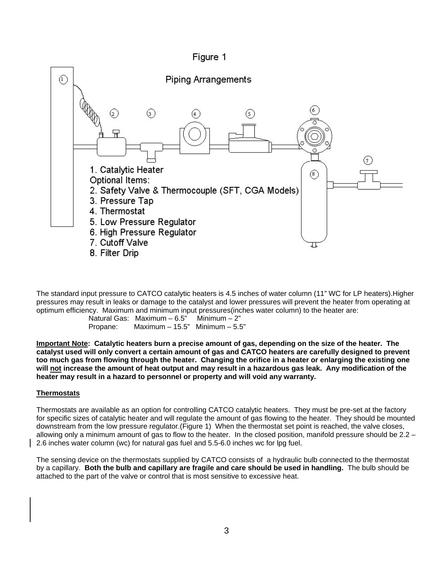



The standard input pressure to CATCO catalytic heaters is 4.5 inches of water column (11" WC for LP heaters).Higher pressures may result in leaks or damage to the catalyst and lower pressures will prevent the heater from operating at optimum efficiency. Maximum and minimum input pressures(inches water column) to the heater are:

 Natural Gas: Maximum – 6.5" Minimum – 2" Propane: Maximum – 15.5" Minimum – 5.5"

**Important Note: Catalytic heaters burn a precise amount of gas, depending on the size of the heater. The catalyst used will only convert a certain amount of gas and CATCO heaters are carefully designed to prevent too much gas from flowing through the heater. Changing the orifice in a heater or enlarging the existing one will not increase the amount of heat output and may result in a hazardous gas leak. Any modification of the heater may result in a hazard to personnel or property and will void any warranty.** 

#### **Thermostats**

Thermostats are available as an option for controlling CATCO catalytic heaters. They must be pre-set at the factory for specific sizes of catalytic heater and will regulate the amount of gas flowing to the heater. They should be mounted downstream from the low pressure regulator.(Figure 1) When the thermostat set point is reached, the valve closes, allowing only a minimum amount of gas to flow to the heater. In the closed position, manifold pressure should be 2.2 – 2.6 inches water column (wc) for natural gas fuel and 5.5-6.0 inches wc for lpg fuel.

The sensing device on the thermostats supplied by CATCO consists of a hydraulic bulb connected to the thermostat by a capillary. **Both the bulb and capillary are fragile and care should be used in handling.** The bulb should be attached to the part of the valve or control that is most sensitive to excessive heat.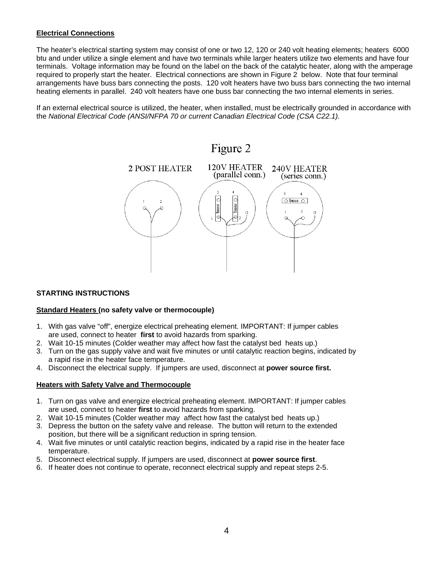#### **Electrical Connections**

The heater's electrical starting system may consist of one or two 12, 120 or 240 volt heating elements; heaters 6000 btu and under utilize a single element and have two terminals while larger heaters utilize two elements and have four terminals. Voltage information may be found on the label on the back of the catalytic heater, along with the amperage required to properly start the heater. Electrical connections are shown in Figure 2 below. Note that four terminal arrangements have buss bars connecting the posts. 120 volt heaters have two buss bars connecting the two internal heating elements in parallel. 240 volt heaters have one buss bar connecting the two internal elements in series.

If an external electrical source is utilized, the heater, when installed, must be electrically grounded in accordance with the *National Electrical Code (ANSI/NFPA 70 or current Canadian Electrical Code (CSA C22.1).* 



#### **STARTING INSTRUCTIONS**

#### **Standard Heaters (no safety valve or thermocouple)**

- 1. With gas valve "off", energize electrical preheating element. IMPORTANT: If jumper cables are used, connect to heater **first** to avoid hazards from sparking.
- 2. Wait 10-15 minutes (Colder weather may affect how fast the catalyst bed heats up.)
- 3. Turn on the gas supply valve and wait five minutes or until catalytic reaction begins, indicated by a rapid rise in the heater face temperature.
- 4. Disconnect the electrical supply. If jumpers are used, disconnect at **power source first.**

#### **Heaters with Safety Valve and Thermocouple**

- 1. Turn on gas valve and energize electrical preheating element. IMPORTANT: If jumper cables are used, connect to heater **first** to avoid hazards from sparking.
- 2. Wait 10-15 minutes (Colder weather may affect how fast the catalyst bed heats up.)
- 3. Depress the button on the safety valve and release. The button will return to the extended position, but there will be a significant reduction in spring tension.
- 4. Wait five minutes or until catalytic reaction begins, indicated by a rapid rise in the heater face temperature.
- 5. Disconnect electrical supply. If jumpers are used, disconnect at **power source first**.
- 6. If heater does not continue to operate, reconnect electrical supply and repeat steps 2-5.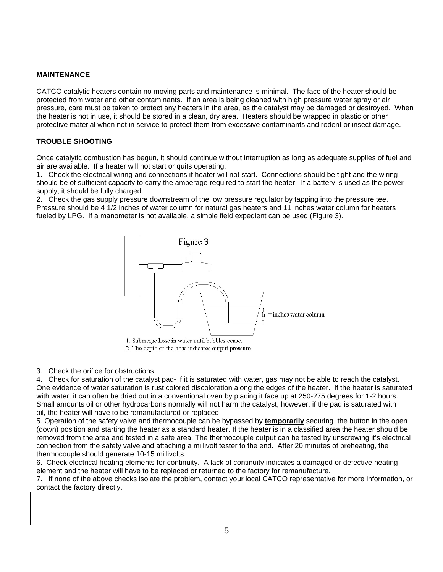#### **MAINTENANCE**

CATCO catalytic heaters contain no moving parts and maintenance is minimal. The face of the heater should be protected from water and other contaminants. If an area is being cleaned with high pressure water spray or air pressure, care must be taken to protect any heaters in the area, as the catalyst may be damaged or destroyed. When the heater is not in use, it should be stored in a clean, dry area. Heaters should be wrapped in plastic or other protective material when not in service to protect them from excessive contaminants and rodent or insect damage.

#### **TROUBLE SHOOTING**

Once catalytic combustion has begun, it should continue without interruption as long as adequate supplies of fuel and air are available. If a heater will not start or quits operating:

1. Check the electrical wiring and connections if heater will not start. Connections should be tight and the wiring should be of sufficient capacity to carry the amperage required to start the heater. If a battery is used as the power supply, it should be fully charged.

2. Check the gas supply pressure downstream of the low pressure regulator by tapping into the pressure tee. Pressure should be 4 1/2 inches of water column for natural gas heaters and 11 inches water column for heaters fueled by LPG. If a manometer is not available, a simple field expedient can be used (Figure 3).



2. The depth of the hose indicates output pressure

3. Check the orifice for obstructions.

4. Check for saturation of the catalyst pad- if it is saturated with water, gas may not be able to reach the catalyst. One evidence of water saturation is rust colored discoloration along the edges of the heater. If the heater is saturated with water, it can often be dried out in a conventional oven by placing it face up at 250-275 degrees for 1-2 hours. Small amounts oil or other hydrocarbons normally will not harm the catalyst; however, if the pad is saturated with oil, the heater will have to be remanufactured or replaced.

5. Operation of the safety valve and thermocouple can be bypassed by **temporarily** securing the button in the open (down) position and starting the heater as a standard heater. If the heater is in a classified area the heater should be removed from the area and tested in a safe area. The thermocouple output can be tested by unscrewing it's electrical connection from the safety valve and attaching a millivolt tester to the end. After 20 minutes of preheating, the thermocouple should generate 10-15 millivolts.

6. Check electrical heating elements for continuity. A lack of continuity indicates a damaged or defective heating element and the heater will have to be replaced or returned to the factory for remanufacture.

7. If none of the above checks isolate the problem, contact your local CATCO representative for more information, or contact the factory directly.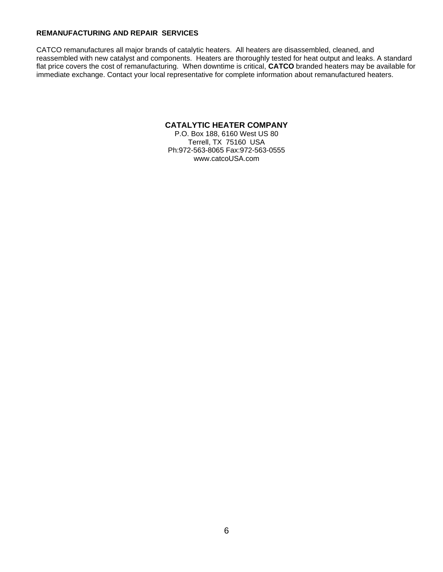#### **REMANUFACTURING AND REPAIR SERVICES**

CATCO remanufactures all major brands of catalytic heaters. All heaters are disassembled, cleaned, and reassembled with new catalyst and components. Heaters are thoroughly tested for heat output and leaks. A standard flat price covers the cost of remanufacturing. When downtime is critical, **CATCO** branded heaters may be available for immediate exchange. Contact your local representative for complete information about remanufactured heaters.

#### **CATALYTIC HEATER COMPANY**

P.O. Box 188, 6160 West US 80 Terrell, TX 75160 USA Ph:972-563-8065 Fax:972-563-0555 www.catcoUSA.com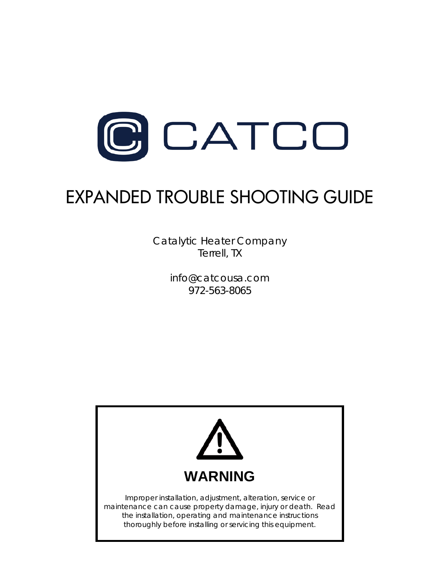

# EXPANDED TROUBLE SHOOTING GUIDE

Catalytic Heater Company Terrell, TX

> info@catcousa.com 972-563-8065

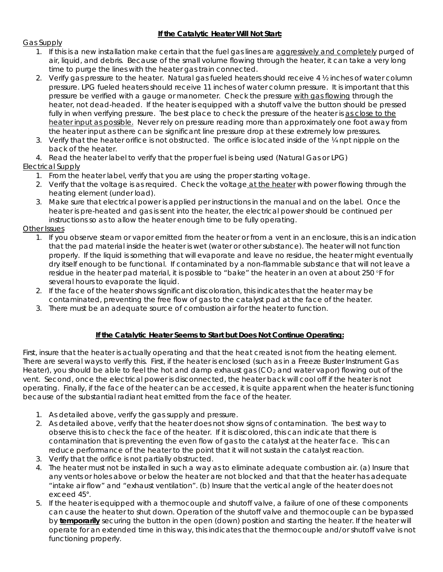#### **If the Catalytic Heater Will Not Start:**

#### Gas Supply

- 1. If this is a new installation make certain that the fuel gas lines are aggressively and completely purged of air, liquid, and debris. Because of the small volume flowing through the heater, it can take a very long time to purge the lines with the heater gas train connected.
- 2. Verify gas pressure to the heater. Natural gas fueled heaters should receive 4 ½ inches of water column pressure. LPG fueled heaters should receive 11 inches of water column pressure. It is important that this pressure be verified with a gauge or manometer. Check the pressure with gas flowing through the heater, not dead-headed. If the heater is equipped with a shutoff valve the button should be pressed fully in when verifying pressure. The best place to check the pressure of the heater is as close to the heater input as possible. Never rely on pressure reading more than approximately one foot away from the heater input as there can be significant line pressure drop at these extremely low pressures.
- 3. Verify that the heater orifice is not obstructed. The orifice is located inside of the ¼ npt nipple on the back of the heater.
- 4. Read the heater label to verify that the proper fuel is being used (Natural Gas or LPG)

#### Electrical Supply

- 1. From the heater label, verify that you are using the proper starting voltage.
- 2. Verify that the voltage is as required. Check the voltage at the heater with power flowing through the heating element (under load).
- 3. Make sure that electrical power is applied per instructions in the manual and on the label. Once the heater is pre-heated and gas is sent into the heater, the electrical power should be continued per instructions so as to allow the heater enough time to be fully operating.

#### Other Issues

- 1. If you observe steam or vapor emitted from the heater or from a vent in an enclosure, this is an indication that the pad material inside the heater is wet (water or other substance). The heater will not function properly. If the liquid is something that will evaporate and leave no residue, the heater might eventually dry itself enough to be functional. If contaminated by a non-flammable substance that will not leave a residue in the heater pad material, it is possible to "bake" the heater in an oven at about 250 °F for several hours to evaporate the liquid.
- 2. If the face of the heater shows significant discoloration, this indicates that the heater may be contaminated, preventing the free flow of gas to the catalyst pad at the face of the heater.
- 3. There must be an adequate source of combustion air for the heater to function.

#### **If the Catalytic Heater Seems to Start but Does Not Continue Operating:**

First, insure that the heater is actually operating and that the heat created is not from the heating element. There are several ways to verify this. First, if the heater is enclosed (such as in a Freeze Buster Instrument Gas Heater), you should be able to feel the hot and damp exhaust gas  $(CO<sub>2</sub>$  and water vapor) flowing out of the vent. Second, once the electrical power is disconnected, the heater back will cool off if the heater is not operating. Finally, if the face of the heater can be accessed, it is quite apparent when the heater is functioning because of the substantial radiant heat emitted from the face of the heater.

- 1. As detailed above, verify the gas supply and pressure.
- 2. As detailed above, verify that the heater does not show signs of contamination. The best way to observe this is to check the face of the heater. If it is discolored, this can indicate that there is contamination that is preventing the even flow of gas to the catalyst at the heater face. This can reduce performance of the heater to the point that it will not sustain the catalyst reaction.
- 3. Verify that the orifice is not partially obstructed.
- 4. The heater must not be installed in such a way as to eliminate adequate combustion air. (a) Insure that any vents or holes above or below the heater are not blocked and that that the heater has adequate "intake air flow" and "exhaust ventilation". (b) Insure that the vertical angle of the heater does not exceed 45°.
- 5. If the heater is equipped with a thermocouple and shutoff valve, a failure of one of these components can cause the heater to shut down. Operation of the shutoff valve and thermocouple can be bypassed by **temporarily** securing the button in the open (down) position and starting the heater. If the heater will operate for an extended time in this way, this indicates that the thermocouple and/or shutoff valve is not functioning properly.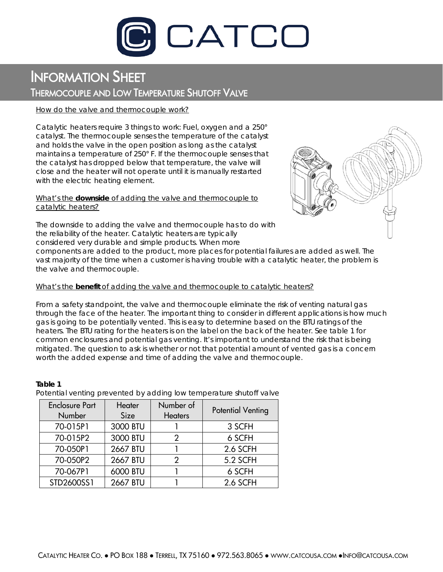

## INFORMATION SHEET THERMOCOUPLE AND LOW TEMPERATURE SHUTOFF VALVE

#### *How do the valve and thermocouple work?*

Catalytic heaters require 3 things to work: Fuel, oxygen and a 250° catalyst. The thermocouple senses the temperature of the catalyst and holds the valve in the open position as long as the catalyst maintains a temperature of 250° F. If the thermocouple senses that the catalyst has dropped below that temperature, the valve will close and the heater will not operate until it is manually restarted with the electric heating element.

#### *What's the downside of adding the valve and thermocouple to catalytic heaters?*



The downside to adding the valve and thermocouple has to do with the reliability of the heater. Catalytic heaters are typically considered very durable and simple products. When more

components are added to the product, more places for potential failures are added as well. The vast majority of the time when a customer is having trouble with a catalytic heater, the problem is the valve and thermocouple.

#### *What's the benefit of adding the valve and thermocouple to catalytic heaters?*

From a safety standpoint, the valve and thermocouple eliminate the risk of venting natural gas through the face of the heater. The important thing to consider in different applications is how much gas is going to be potentially vented. This is easy to determine based on the BTU ratings of the heaters. The BTU rating for the heaters is on the label on the back of the heater. See table 1 for common enclosures and potential gas venting. It's important to understand the risk that is being mitigated. The question to ask is whether or not that potential amount of vented gas is a concern worth the added expense and time of adding the valve and thermocouple.

#### **Table 1** Potential venting prevented by adding low temperature shutoff valve

| <b>Enclosure Part</b><br><b>Number</b> | Heater<br>Size | Number of<br><b>Heaters</b> | <b>Potential Venting</b> |
|----------------------------------------|----------------|-----------------------------|--------------------------|
| 70-015P1                               | 3000 BTU       |                             | 3 SCFH                   |
| 70-015P2                               | 3000 BTU       | 2                           | 6 SCFH                   |
| 70-050P1                               | 2667 BTU       |                             | 2.6 SCFH                 |
| 70-050P2                               | 2667 BTU       | 2                           | 5.2 SCFH                 |
| 70-067P1                               | 6000 BTU       |                             | 6 SCFH                   |
| STD2600SS1                             | 2667 BTU       |                             | 2.6 SCFH                 |